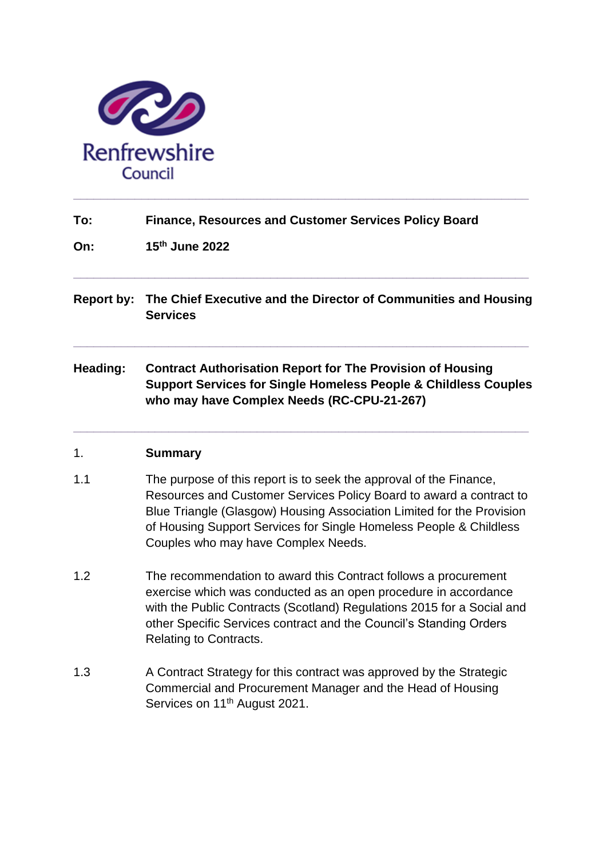

| To: | <b>Finance, Resources and Customer Services Policy Board</b> |
|-----|--------------------------------------------------------------|
|-----|--------------------------------------------------------------|

**On: 15th June 2022**

**Report by: The Chief Executive and the Director of Communities and Housing Services**

**\_\_\_\_\_\_\_\_\_\_\_\_\_\_\_\_\_\_\_\_\_\_\_\_\_\_\_\_\_\_\_\_\_\_\_\_\_\_\_\_\_\_\_\_\_\_\_\_\_\_\_\_\_\_\_\_\_\_\_\_\_\_\_\_\_\_\_**

**\_\_\_\_\_\_\_\_\_\_\_\_\_\_\_\_\_\_\_\_\_\_\_\_\_\_\_\_\_\_\_\_\_\_\_\_\_\_\_\_\_\_\_\_\_\_\_\_\_\_\_\_\_\_\_\_\_\_\_\_\_\_\_\_\_\_\_**

**Heading: Contract Authorisation Report for The Provision of Housing Support Services for Single Homeless People & Childless Couples who may have Complex Needs (RC-CPU-21-267)**

**\_\_\_\_\_\_\_\_\_\_\_\_\_\_\_\_\_\_\_\_\_\_\_\_\_\_\_\_\_\_\_\_\_\_\_\_\_\_\_\_\_\_\_\_\_\_\_\_\_\_\_\_\_\_\_\_\_\_\_\_\_\_\_\_\_\_\_**

#### 1. **Summary**

- 1.1 The purpose of this report is to seek the approval of the Finance, Resources and Customer Services Policy Board to award a contract to Blue Triangle (Glasgow) Housing Association Limited for the Provision of Housing Support Services for Single Homeless People & Childless Couples who may have Complex Needs.
- 1.2 The recommendation to award this Contract follows a procurement exercise which was conducted as an open procedure in accordance with the Public Contracts (Scotland) Regulations 2015 for a Social and other Specific Services contract and the Council's Standing Orders Relating to Contracts.
- 1.3 A Contract Strategy for this contract was approved by the Strategic Commercial and Procurement Manager and the Head of Housing Services on 11<sup>th</sup> August 2021.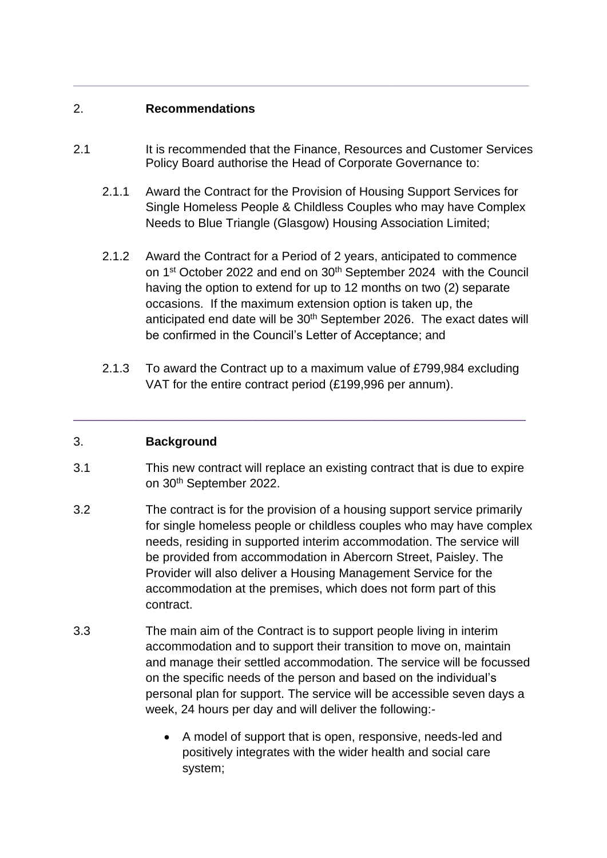## 2. **Recommendations**

2.1 It is recommended that the Finance, Resources and Customer Services Policy Board authorise the Head of Corporate Governance to:

**\_\_\_\_\_\_\_\_\_\_\_\_\_\_\_\_\_\_\_\_\_\_\_\_\_\_\_\_\_\_\_\_\_\_\_\_\_\_\_\_\_\_\_\_\_\_\_\_\_\_\_\_\_\_\_\_\_\_\_\_\_\_\_\_\_\_\_**

- 2.1.1 Award the Contract for the Provision of Housing Support Services for Single Homeless People & Childless Couples who may have Complex Needs to Blue Triangle (Glasgow) Housing Association Limited;
- 2.1.2 Award the Contract for a Period of 2 years, anticipated to commence on 1<sup>st</sup> October 2022 and end on 30<sup>th</sup> September 2024 with the Council having the option to extend for up to 12 months on two (2) separate occasions. If the maximum extension option is taken up, the anticipated end date will be 30<sup>th</sup> September 2026. The exact dates will be confirmed in the Council's Letter of Acceptance; and
- 2.1.3 To award the Contract up to a maximum value of £799,984 excluding VAT for the entire contract period (£199,996 per annum).

### 3. **Background**

3.1 This new contract will replace an existing contract that is due to expire on 30th September 2022.

\_\_\_\_\_\_\_\_\_\_\_\_\_\_\_\_\_\_\_\_\_\_\_\_\_\_\_\_\_\_\_\_\_\_\_\_\_\_\_\_\_\_\_\_\_\_\_\_\_\_\_\_\_\_\_\_\_

- 3.2 The contract is for the provision of a housing support service primarily for single homeless people or childless couples who may have complex needs, residing in supported interim accommodation. The service will be provided from accommodation in Abercorn Street, Paisley. The Provider will also deliver a Housing Management Service for the accommodation at the premises, which does not form part of this contract.
- 3.3 The main aim of the Contract is to support people living in interim accommodation and to support their transition to move on, maintain and manage their settled accommodation. The service will be focussed on the specific needs of the person and based on the individual's personal plan for support. The service will be accessible seven days a week, 24 hours per day and will deliver the following:-
	- A model of support that is open, responsive, needs-led and positively integrates with the wider health and social care system;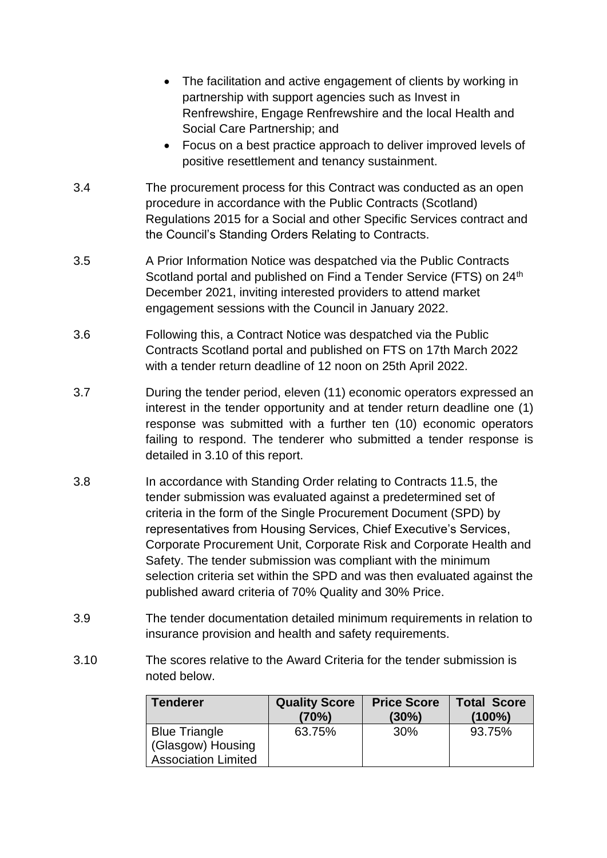- The facilitation and active engagement of clients by working in partnership with support agencies such as Invest in Renfrewshire, Engage Renfrewshire and the local Health and Social Care Partnership; and
- Focus on a best practice approach to deliver improved levels of positive resettlement and tenancy sustainment.
- 3.4 The procurement process for this Contract was conducted as an open procedure in accordance with the Public Contracts (Scotland) Regulations 2015 for a Social and other Specific Services contract and the Council's Standing Orders Relating to Contracts.
- 3.5 A Prior Information Notice was despatched via the Public Contracts Scotland portal and published on Find a Tender Service (FTS) on 24<sup>th</sup> December 2021, inviting interested providers to attend market engagement sessions with the Council in January 2022.
- 3.6 Following this, a Contract Notice was despatched via the Public Contracts Scotland portal and published on FTS on 17th March 2022 with a tender return deadline of 12 noon on 25th April 2022.
- 3.7 During the tender period, eleven (11) economic operators expressed an interest in the tender opportunity and at tender return deadline one (1) response was submitted with a further ten (10) economic operators failing to respond. The tenderer who submitted a tender response is detailed in 3.10 of this report.
- 3.8 In accordance with Standing Order relating to Contracts 11.5, the tender submission was evaluated against a predetermined set of criteria in the form of the Single Procurement Document (SPD) by representatives from Housing Services, Chief Executive's Services, Corporate Procurement Unit, Corporate Risk and Corporate Health and Safety. The tender submission was compliant with the minimum selection criteria set within the SPD and was then evaluated against the published award criteria of 70% Quality and 30% Price.
- 3.9 The tender documentation detailed minimum requirements in relation to insurance provision and health and safety requirements.
- 3.10 The scores relative to the Award Criteria for the tender submission is noted below.

| <b>Tenderer</b>            | <b>Quality Score</b><br>(70%) | <b>Price Score</b><br>$(30\%)$ | <b>Total Score</b><br>$(100\%)$ |
|----------------------------|-------------------------------|--------------------------------|---------------------------------|
| <b>Blue Triangle</b>       | 63.75%                        | 30%                            | 93.75%                          |
| (Glasgow) Housing          |                               |                                |                                 |
| <b>Association Limited</b> |                               |                                |                                 |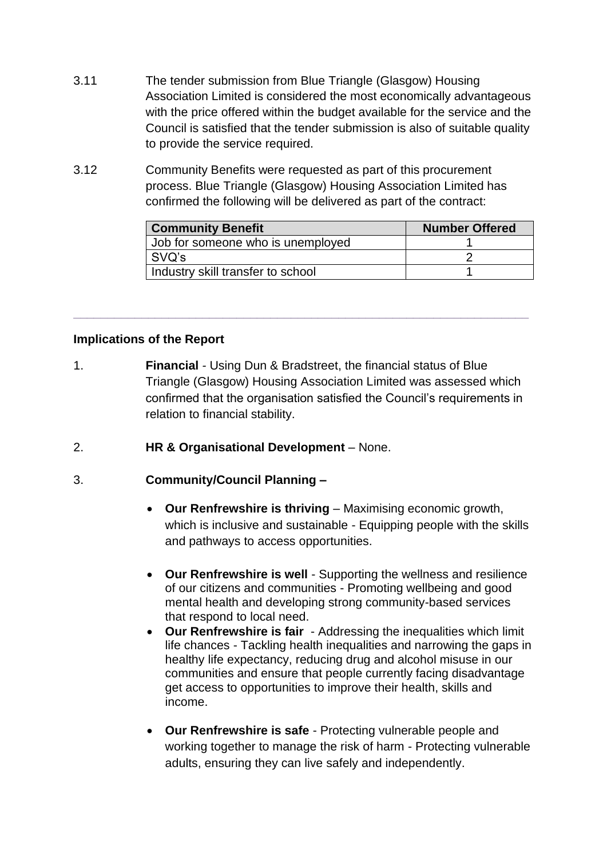- 3.11 The tender submission from Blue Triangle (Glasgow) Housing Association Limited is considered the most economically advantageous with the price offered within the budget available for the service and the Council is satisfied that the tender submission is also of suitable quality to provide the service required.
- 3.12 Community Benefits were requested as part of this procurement process. Blue Triangle (Glasgow) Housing Association Limited has confirmed the following will be delivered as part of the contract:

| <b>Community Benefit</b>          | <b>Number Offered</b> |
|-----------------------------------|-----------------------|
| Job for someone who is unemployed |                       |
| SVQ's                             |                       |
| Industry skill transfer to school |                       |

# **Implications of the Report**

1. **Financial** *-* Using Dun & Bradstreet, the financial status of Blue Triangle (Glasgow) Housing Association Limited was assessed which confirmed that the organisation satisfied the Council's requirements in relation to financial stability.

**\_\_\_\_\_\_\_\_\_\_\_\_\_\_\_\_\_\_\_\_\_\_\_\_\_\_\_\_\_\_\_\_\_\_\_\_\_\_\_\_\_\_\_\_\_\_\_\_\_\_\_\_\_\_\_\_\_\_\_\_\_\_\_\_\_\_\_**

2. **HR & Organisational Development** – None.

### 3. **Community/Council Planning –**

- **Our Renfrewshire is thriving** Maximising economic growth, which is inclusive and sustainable - Equipping people with the skills and pathways to access opportunities.
- **Our Renfrewshire is well** Supporting the wellness and resilience of our citizens and communities - Promoting wellbeing and good mental health and developing strong community-based services that respond to local need.
- **Our Renfrewshire is fair** Addressing the inequalities which limit life chances - Tackling health inequalities and narrowing the gaps in healthy life expectancy, reducing drug and alcohol misuse in our communities and ensure that people currently facing disadvantage get access to opportunities to improve their health, skills and income.
- **Our Renfrewshire is safe** Protecting vulnerable people and working together to manage the risk of harm - Protecting vulnerable adults, ensuring they can live safely and independently.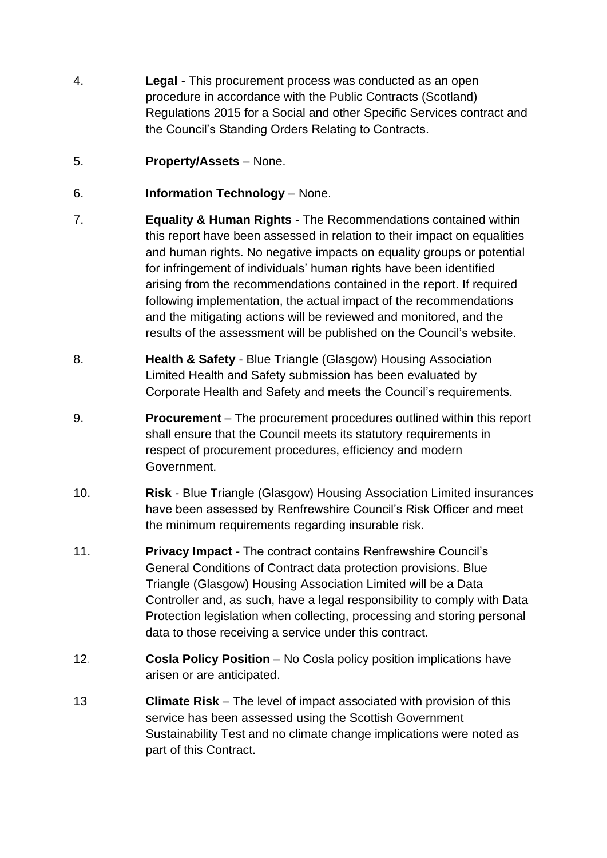- 4. **Legal** *-* This procurement process was conducted as an open procedure in accordance with the Public Contracts (Scotland) Regulations 2015 for a Social and other Specific Services contract and the Council's Standing Orders Relating to Contracts.
- 5. **Property/Assets** None.
- 6. **Information Technology** None.
- 7. **Equality & Human Rights** The Recommendations contained within this report have been assessed in relation to their impact on equalities and human rights. No negative impacts on equality groups or potential for infringement of individuals' human rights have been identified arising from the recommendations contained in the report. If required following implementation, the actual impact of the recommendations and the mitigating actions will be reviewed and monitored, and the results of the assessment will be published on the Council's website.
- 8. **Health & Safety** Blue Triangle (Glasgow) Housing Association Limited Health and Safety submission has been evaluated by Corporate Health and Safety and meets the Council's requirements.
- 9. **Procurement** *–* The procurement procedures outlined within this report shall ensure that the Council meets its statutory requirements in respect of procurement procedures, efficiency and modern Government.
- 10. **Risk** *-* Blue Triangle (Glasgow) Housing Association Limited insurances have been assessed by Renfrewshire Council's Risk Officer and meet the minimum requirements regarding insurable risk.
- 11. **Privacy Impact** *-* The contract contains Renfrewshire Council's General Conditions of Contract data protection provisions. Blue Triangle (Glasgow) Housing Association Limited will be a Data Controller and, as such, have a legal responsibility to comply with Data Protection legislation when collecting, processing and storing personal data to those receiving a service under this contract.
- 12*.* **Cosla Policy Position** No Cosla policy position implications have arisen or are anticipated.
- 13 **Climate Risk** The level of impact associated with provision of this service has been assessed using the Scottish Government Sustainability Test and no climate change implications were noted as part of this Contract.